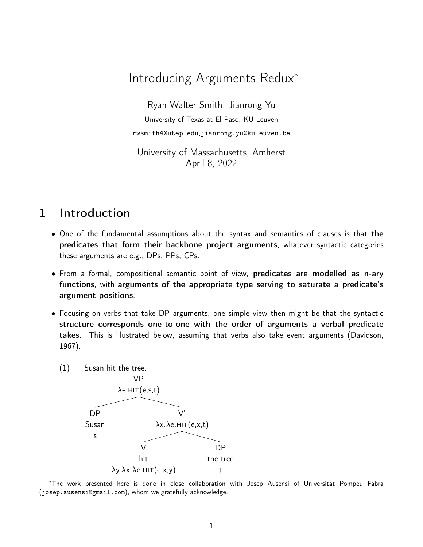# Introducing Arguments Redux<sup>∗</sup>

Ryan Walter Smith, Jianrong Yu University of Texas at El Paso, KU Leuven [rwsmith4@utep.edu](mailto:rwsmith4@utep.edu),[jianrong.yu@kuleuven.be](mailto:jianrong@nus.edu.sg)

University of Massachusetts, Amherst April 8, 2022

### 1 Introduction

- One of the fundamental assumptions about the syntax and semantics of clauses is that the predicates that form their backbone project arguments, whatever syntactic categories these arguments are e.g., DPs, PPs, CPs.
- From a formal, compositional semantic point of view, predicates are modelled as n-ary functions, with arguments of the appropriate type serving to saturate a predicate's argument positions.
- <span id="page-0-0"></span>• Focusing on verbs that take DP arguments, one simple view then might be that the syntactic structure corresponds one-to-one with the order of arguments a verbal predicate takes. This is illustrated below, assuming that verbs also take event arguments [\(Davidson](#page-18-0), [1967](#page-18-0)).
	- (1) Susan hit the tree.



<sup>∗</sup>The work presented here is done in close collaboration with Josep Ausensi of Universitat Pompeu Fabra ([josep.ausensi@gmail.com](mailto:josep.ausensi@gmail.com)), whom we gratefully acknowledge.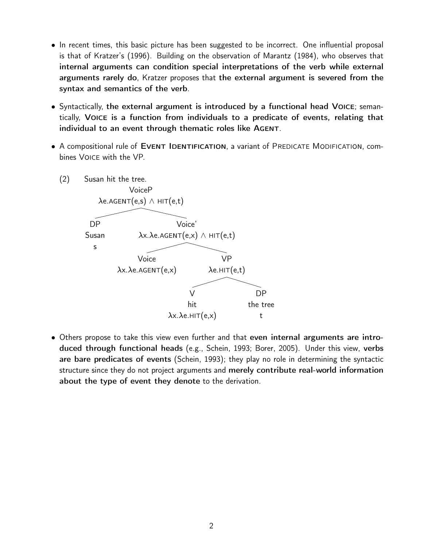- In recent times, this basic picture has been suggested to be incorrect. One influential proposal is that of Kratzer's [\(1996](#page-18-1)). Building on the observation of [Marantz \(1984\)](#page-18-2), who observes that internal arguments can condition special interpretations of the verb while external arguments rarely do, [Kratzer](#page-18-1) proposes that the external argument is severed from the syntax and semantics of the verb.
- Syntactically, the external argument is introduced by a functional head Voice; semantically, Voice is a function from individuals to a predicate of events, relating that individual to an event through thematic roles like AGENT.
- <span id="page-1-0"></span>• A compositional rule of EVENT IDENTIFICATION, a variant of PREDICATE MODIFICATION, combines Voice with the VP.



• Others propose to take this view even further and that even internal arguments are introduced through functional heads (e.g., [Schein, 1993;](#page-18-3) [Borer, 2005\)](#page-18-4). Under this view, verbs are bare predicates of events [\(Schein](#page-18-3), [1993](#page-18-3)); they play no role in determining the syntactic structure since they do not project arguments and merely contribute real-world information about the type of event they denote to the derivation.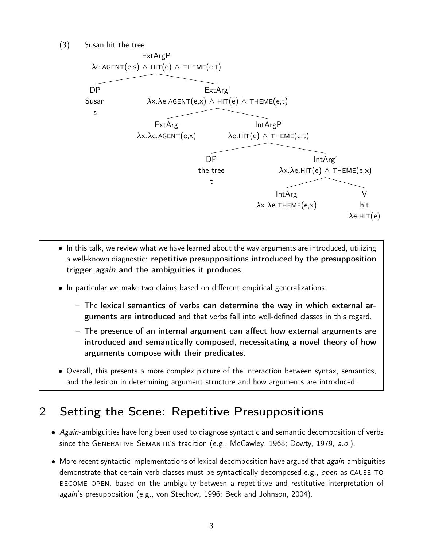<span id="page-2-0"></span>(3) Susan hit the tree.



- In this talk, we review what we have learned about the way arguments are introduced, utilizing a well-known diagnostic: repetitive presuppositions introduced by the presupposition trigger *again* and the ambiguities it produces.
- In particular we make two claims based on different empirical generalizations:
	- The lexical semantics of verbs can determine the way in which external arguments are introduced and that verbs fall into well-defined classes in this regard.
	- The presence of an internal argument can affect how external arguments are introduced and semantically composed, necessitating a novel theory of how arguments compose with their predicates.
- Overall, this presents a more complex picture of the interaction between syntax, semantics, and the lexicon in determining argument structure and how arguments are introduced.

### 2 Setting the Scene: Repetitive Presuppositions

- Again-ambiguities have long been used to diagnose syntactic and semantic decomposition of verbs since the GENERATIVE SEMANTICS tradition (e.g., [McCawley](#page-18-5), [1968;](#page-18-5) [Dowty](#page-18-6), [1979,](#page-18-6) a.o.).
- $\bullet$  More recent syntactic implementations of lexical decomposition have argued that *again*-ambiguities demonstrate that certain verb classes must be syntactically decomposed e.g., open as CAUSE TO become open, based on the ambiguity between a repetititve and restitutive interpretation of again's presupposition (e.g., [von Stechow](#page-18-7), [1996;](#page-18-7) [Beck and Johnson, 2004](#page-18-8)).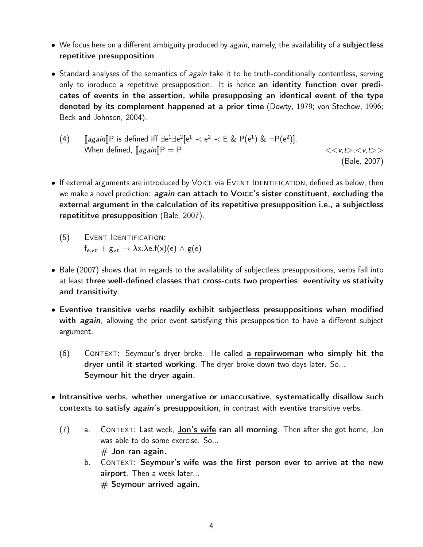- We focus here on a different ambiguity produced by again, namely, the availability of a subjectless repetitive presupposition.
- Standard analyses of the semantics of *again* take it to be truth-conditionally contentless, serving only to inroduce a repetitive presupposition. It is hence an identity function over predicates of events in the assertion, while presupposing an identical event of the type denoted by its complement happened at a prior time [\(Dowty, 1979;](#page-18-6) [von Stechow](#page-18-7), [1996](#page-18-7); [Beck and Johnson, 2004](#page-18-8)).

(4) 
$$
[again]P
$$
 is defined iff  $\exists e^1 \exists e^2 [e^1 \prec e^2 \prec E \& P(e^1) \& \neg P(e^2)].$  When defined,  $[again]P = P$   $\langle \langle v, t \rangle, \langle v, t \rangle \rangle$  (Bale, 2007)

- If external arguments are introduced by VOICE via EVENT IDENTIFICATION, defined as below, then we make a novel prediction: again can attach to VOICE's sister constituent, excluding the external argument in the calculation of its repetitive presupposition i.e., a subjectless repetititve presupposition [\(Bale, 2007](#page-18-9)).
	- (5) Event Identification:  $f_{e,vt} + g_{vt} \rightarrow \lambda x. \lambda e.f(x)(e) \wedge g(e)$
- [Bale \(2007\)](#page-18-9) shows that in regards to the availability of subjectless presuppositions, verbs fall into at least three well-defined classes that cross-cuts two properties: eventivity vs stativity and transitivity.
- Eventive transitive verbs readily exhibit subjectless presuppositions when modified with *again*, allowing the prior event satisfying this presupposition to have a different subject argument.
	- (6) Context: Seymour's dryer broke. He called a repairwoman who simply hit the dryer until it started working. The dryer broke down two days later. So... Seymour hit the dryer again.
- Intransitive verbs, whether unergative or unaccusative, systematically disallow such contexts to satisfy *again*'s presupposition, in contrast with eventive transitive verbs.
	- (7) a. Context: Last week, Jon's wife ran all morning. Then after she got home, Jon was able to do some exercise. So...  $#$  Jon ran again.
		- b. CONTEXT: Seymour's wife was the first person ever to arrive at the new airport. Then a week later...  $#$  Seymour arrived again.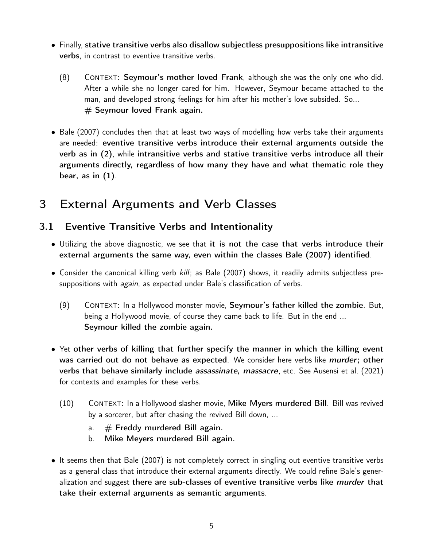- Finally, stative transitive verbs also disallow subjectless presuppositions like intransitive verbs, in contrast to eventive transitive verbs.
	- (8) Context: Seymour's mother loved Frank, although she was the only one who did. After a while she no longer cared for him. However, Seymour became attached to the man, and developed strong feelings for him after his mother's love subsided. So...  $#$  Seymour loved Frank again.
- [Bale \(2007](#page-18-9)) concludes then that at least two ways of modelling how verbs take their arguments are needed: eventive transitive verbs introduce their external arguments outside the verb as in [\(2\)](#page-1-0), while intransitive verbs and stative transitive verbs introduce all their arguments directly, regardless of how many they have and what thematic role they bear, as in  $(1)$ .

# 3 External Arguments and Verb Classes

### 3.1 Eventive Transitive Verbs and Intentionality

- Utilizing the above diagnostic, we see that it is not the case that verbs introduce their external arguments the same way, even within the classes [Bale \(2007](#page-18-9)) identified.
- Consider the canonical killing verb kill; as [Bale \(2007](#page-18-9)) shows, it readily admits subjectless presuppositions with *again*, as expected under Bale's classification of verbs.
	- (9) Context: In a Hollywood monster movie, Seymour's father killed the zombie. But, being a Hollywood movie, of course they came back to life. But in the end ... Seymour killed the zombie again.
- Yet other verbs of killing that further specify the manner in which the killing event was carried out do not behave as expected. We consider here verbs like *murder*; other verbs that behave similarly include *assassinate*, *massacre*, etc. See [Ausensi et al. \(2021\)](#page-18-10) for contexts and examples for these verbs.
	- (10) Context: In a Hollywood slasher movie, Mike Myers murdered Bill. Bill was revived by a sorcerer, but after chasing the revived Bill down, ...
		- a.  $#$  Freddy murdered Bill again.
		- b. Mike Meyers murdered Bill again.
- It seems then that [Bale \(2007\)](#page-18-9) is not completely correct in singling out eventive transitive verbs as a general class that introduce their external arguments directly. We could refine Bale's generalization and suggest there are sub-classes of eventive transitive verbs like *murder* that take their external arguments as semantic arguments.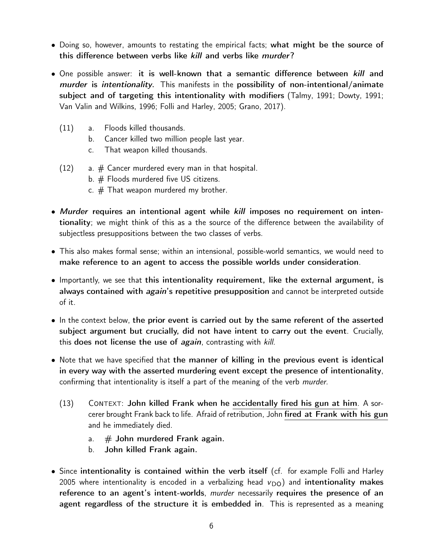- Doing so, however, amounts to restating the empirical facts; what might be the source of this difference between verbs like kill and verbs like murder?
- One possible answer: it is well-known that a semantic difference between kill and murder is intentionality. This manifests in the possibility of non-intentional/animate subject and of targeting this intentionality with modifiers [\(Talmy, 1991;](#page-18-11) [Dowty, 1991](#page-18-12); [Van Valin and Wilkins](#page-18-13), [1996;](#page-18-13) [Folli and Harley, 2005](#page-18-14); [Grano](#page-18-15), [2017](#page-18-15)).
	- (11) a. Floods killed thousands.
		- b. Cancer killed two million people last year.
		- c. That weapon killed thousands.
	- $(12)$  a.  $\#$  Cancer murdered every man in that hospital.
		- b. # Floods murdered five US citizens.
		- c.  $#$  That weapon murdered my brother.
- Murder requires an intentional agent while kill imposes no requirement on intentionality; we might think of this as a the source of the difference between the availability of subjectless presuppositions between the two classes of verbs.
- This also makes formal sense; within an intensional, possible-world semantics, we would need to make reference to an agent to access the possible worlds under consideration.
- Importantly, we see that this intentionality requirement, like the external argument, is always contained with *again's* repetitive presupposition and cannot be interpreted outside of it.
- In the context below, the prior event is carried out by the same referent of the asserted subject argument but crucially, did not have intent to carry out the event. Crucially, this does not license the use of again, contrasting with kill.
- Note that we have specified that the manner of killing in the previous event is identical in every way with the asserted murdering event except the presence of intentionality, confirming that intentionality is itself a part of the meaning of the verb *murder*.
	- $(13)$  CONTEXT: John killed Frank when he accidentally fired his gun at him. A sorcerer brought Frank back to life. Afraid of retribution, John fired at Frank with his gun and he immediately died.
		- a.  $#$  John murdered Frank again.
		- b. John killed Frank again.
- Since intentionality is contained within the verb itself (cf. for example [Folli and Harley](#page-18-14) [2005](#page-18-14) where intentionality is encoded in a verbalizing head  $v_{\text{DO}}$ ) and intentionality makes reference to an agent's intent-worlds, *murder* necessarily requires the presence of an agent regardless of the structure it is embedded in. This is represented as a meaning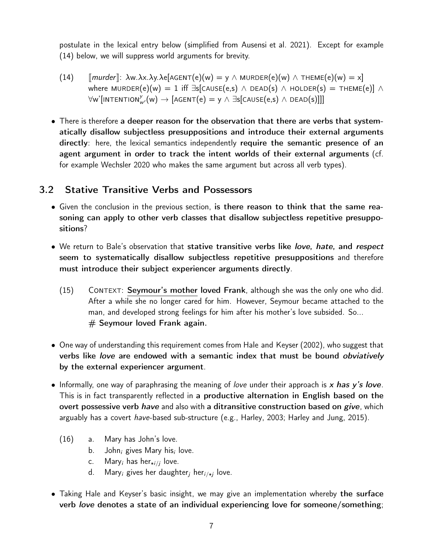postulate in the lexical entry below (simplified from [Ausensi et al. 2021\)](#page-18-10). Except for example (14) below, we will suppress world arguments for brevity.

- $\lceil (14) \quad \lceil \text{murder} \rceil$ :  $\lambda w.\lambda x.\lambda y.\lambda e[AGENT(e)(w) = y \wedge MURDER(e)(w) \wedge THEME(e)(w) = x]$ where MURDER(e)(w) = 1 iff  $\exists s$ [CAUSE(e,s)  $\land$  DEAD(s)  $\land$  HOLDER(s) = THEME(e)]  $\land$  $\forall$ w'[intention $y_{w'}^y(w) \rightarrow [\text{AGENT}(e) = y \land \exists s[\text{CAUSE}(e,s) \land \text{DEAD}(s)]]]$
- There is therefore a deeper reason for the observation that there are verbs that systematically disallow subjectless presuppositions and introduce their external arguments directly: here, the lexical semantics independently require the semantic presence of an agent argument in order to track the intent worlds of their external arguments (cf. for example [Wechsler 2020](#page-19-0) who makes the same argument but across all verb types).

#### 3.2 Stative Transitive Verbs and Possessors

- Given the conclusion in the previous section, is there reason to think that the same reasoning can apply to other verb classes that disallow subjectless repetitive presuppositions?
- We return to Bale's observation that stative transitive verbs like love, hate, and respect seem to systematically disallow subjectless repetitive presuppositions and therefore must introduce their subject experiencer arguments directly.
	- $(15)$  CONTEXT: Seymour's mother loved Frank, although she was the only one who did. After a while she no longer cared for him. However, Seymour became attached to the man, and developed strong feelings for him after his mother's love subsided. So...  $#$  Seymour loved Frank again.
- One way of understanding this requirement comes from [Hale and Keyser \(2002\)](#page-18-16), who suggest that verbs like *love* are endowed with a semantic index that must be bound *obviatively* by the external experiencer argument.
- Informally, one way of paraphrasing the meaning of love under their approach is x has  $y'$ s love. This is in fact transparently reflected in a productive alternation in English based on the overt possessive verb have and also with a ditransitive construction based on give, which arguably has a covert *have*-based sub-structure (e.g., [Harley, 2003](#page-18-17); [Harley and Jung,](#page-18-18) [2015](#page-18-18)).
	- (16) a. Mary has John's love.
		- b. John*<sup>i</sup>* gives Mary his*<sup>i</sup>* love.
		- c. Mary<sub>*i*</sub> has her<sub>∗*i/j*</sub> love.
		- d. Mary*<sup>i</sup>* gives her daughter*<sup>j</sup>* her*i=*∗*<sup>j</sup>* love.
- Taking Hale and Keyser's basic insight, we may give an implementation whereby the surface verb love denotes a state of an individual experiencing love for someone/something;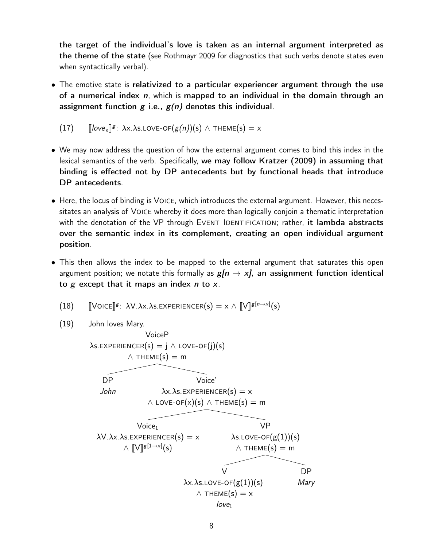the target of the individual's love is taken as an internal argument interpreted as the theme of the state (see [Rothmayr 2009](#page-18-19) for diagnostics that such verbs denote states even when syntactically verbal).

• The emotive state is relativized to a particular experiencer argument through the use of a numerical index  $n$ , which is mapped to an individual in the domain through an assignment function  $g$  i.e.,  $g(n)$  denotes this individual.

(17) 
$$
[[\text{love}_n]]^g: \lambda x.\lambda s.\text{LOVE-OF}(g(n))(s) \wedge \text{THEME}(s) = x
$$

- We may now address the question of how the external argument comes to bind this index in the lexical semantics of the verb. Specifically, we may follow [Kratzer \(2009\)](#page-18-20) in assuming that binding is effected not by DP antecedents but by functional heads that introduce DP antecedents.
- Here, the locus of binding is Voice, which introduces the external argument. However, this necessitates an analysis of Voice whereby it does more than logically conjoin a thematic interpretation with the denotation of the VP through EVENT IDENTIFICATION; rather, it lambda abstracts over the semantic index in its complement, creating an open individual argument position.
- This then allows the index to be mapped to the external argument that saturates this open argument position; we notate this formally as  $g/n \rightarrow x$ , an assignment function identical to  $g$  except that it maps an index  $n$  to  $x$ .
	- (18)  $\left[\text{Volce}\right]^{g}$ :  $\lambda \text{V}.\lambda \text{x}.\lambda \text{s}$ . Experiencer(s) =  $x \wedge \left[\!\left[\text{V}\right]^{g[n \to x]}(s)\right]$
	- (19) John loves Mary.

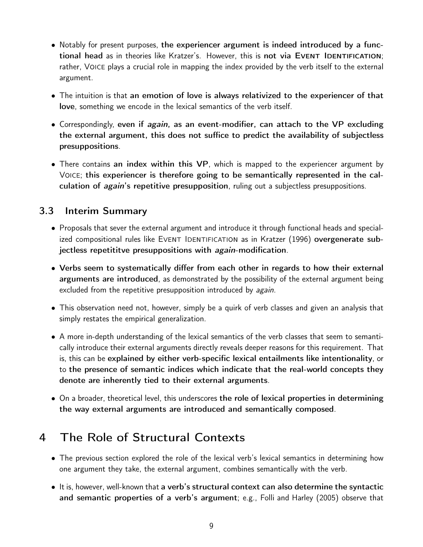- Notably for present purposes, the experiencer argument is indeed introduced by a functional head as in theories like Kratzer's. However, this is not via EVENT IDENTIFICATION; rather, Voice plays a crucial role in mapping the index provided by the verb itself to the external argument.
- The intuition is that an emotion of love is always relativized to the experiencer of that love, something we encode in the lexical semantics of the verb itself.
- Correspondingly, even if again, as an event-modifier, can attach to the VP excluding the external argument, this does not suffice to predict the availability of subjectless presuppositions.
- There contains an index within this VP, which is mapped to the experiencer argument by Voice; this experiencer is therefore going to be semantically represented in the calculation of *again's* repetitive presupposition, ruling out a subjectless presuppositions.

### 3.3 Interim Summary

- Proposals that sever the external argument and introduce it through functional heads and special-ized compositional rules like EVENT IDENTIFICATION as in [Kratzer](#page-18-1) [\(1996\)](#page-18-1) overgenerate subjectless repetititve presuppositions with again-modification.
- Verbs seem to systematically differ from each other in regards to how their external arguments are introduced, as demonstrated by the possibility of the external argument being excluded from the repetitive presupposition introduced by again.
- This observation need not, however, simply be a quirk of verb classes and given an analysis that simply restates the empirical generalization.
- A more in-depth understanding of the lexical semantics of the verb classes that seem to semantically introduce their external arguments directly reveals deeper reasons for this requirement. That is, this can be explained by either verb-specific lexical entailments like intentionality, or to the presence of semantic indices which indicate that the real-world concepts they denote are inherently tied to their external arguments.
- On a broader, theoretical level, this underscores the role of lexical properties in determining the way external arguments are introduced and semantically composed.

# <span id="page-8-0"></span>4 The Role of Structural Contexts

- The previous section explored the role of the lexical verb's lexical semantics in determining how one argument they take, the external argument, combines semantically with the verb.
- It is, however, well-known that a verb's structural context can also determine the syntactic and semantic properties of a verb's argument; e.g., [Folli and Harley \(2005\)](#page-18-14) observe that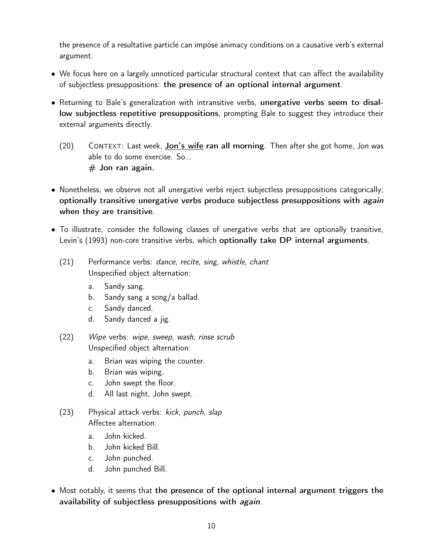the presence of a resultative particle can impose animacy conditions on a causative verb's external argument.

- We focus here on a largely unnoticed particular structural context that can affect the availability of subjectless presuppositions: the presence of an optional internal argument.
- Returning to Bale's generalization with intransitive verbs, unergative verbs seem to disallow subjectless repetitive presuppositions, prompting Bale to suggest they introduce their external arguments directly.
	- $(20)$  CONTEXT: Last week, **Jon's wife ran all morning**. Then after she got home, Jon was able to do some exercise. So...  $#$  Jon ran again.
- Nonetheless, we observe not all unergative verbs reject subjectless presuppositions categorically; optionally transitive unergative verbs produce subjectless presuppositions with *again* when they are transitive.
- To illustrate, consider the following classes of unergative verbs that are optionally transitive, [Levin'](#page-18-21)s [\(1993](#page-18-21)) non-core transitive verbs, which optionally take DP internal arguments.
	- (21) Performance verbs: dance, recite, sing, whistle, chant Unspecified object alternation:
		- a. Sandy sang.
		- b. Sandy sang a song/a ballad.
		- c. Sandy danced.
		- d. Sandy danced a jig.
	- (22) Wipe verbs: wipe, sweep, wash, rinse scrub Unspecified object alternation:
		- a. Brian was wiping the counter.
		- b. Brian was wiping.
		- c. John swept the floor.
		- d. All last night, John swept.
	- (23) Physical attack verbs: kick, punch, slap Affectee alternation:
		- a. John kicked.
		- b. John kicked Bill.
		- c. John punched.
		- d. John punched Bill.
- Most notably, it seems that the presence of the optional internal argument triggers the availability of subjectless presuppositions with again.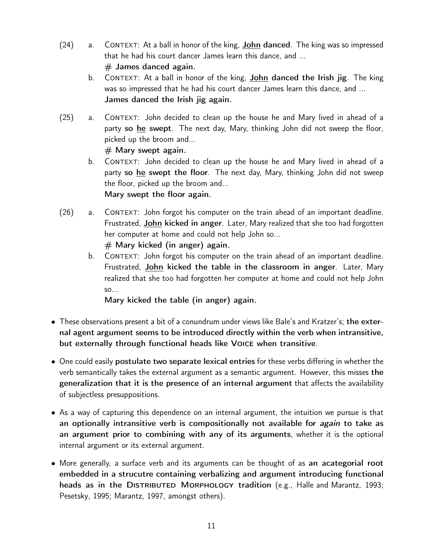- $(24)$  a. CONTEXT: At a ball in honor of the king, **John danced**. The king was so impressed that he had his court dancer James learn this dance, and ...  $#$  James danced again.
	- b. CONTEXT: At a ball in honor of the king, **John danced the Irish jig**. The king was so impressed that he had his court dancer James learn this dance, and ... James danced the Irish jig again.
- (25) a. Context: John decided to clean up the house he and Mary lived in ahead of a party so he swept. The next day, Mary, thinking John did not sweep the floor, picked up the broom and...

 $#$  Mary swept again.

- b. CONTEXT: John decided to clean up the house he and Mary lived in ahead of a party so he swept the floor. The next day, Mary, thinking John did not sweep the floor, picked up the broom and... Mary swept the floor again.
- (26) a. Context: John forgot his computer on the train ahead of an important deadline. Frustrated, John kicked in anger. Later, Mary realized that she too had forgotten her computer at home and could not help John so...  $#$  Mary kicked (in anger) again.
	- b. CONTEXT: John forgot his computer on the train ahead of an important deadline. Frustrated, John kicked the table in the classroom in anger. Later, Mary realized that she too had forgotten her computer at home and could not help John so...

Mary kicked the table (in anger) again.

- These observations present a bit of a conundrum under views like Bale's and Kratzer's; the external agent argument seems to be introduced directly within the verb when intransitive, but externally through functional heads like Voice when transitive.
- One could easily postulate two separate lexical entries for these verbs differing in whether the verb semantically takes the external argument as a semantic argument. However, this misses the generalization that it is the presence of an internal argument that affects the availability of subjectless presuppositions.
- As a way of capturing this dependence on an internal argument, the intuition we pursue is that an optionally intransitive verb is compositionally not available for *again* to take as an argument prior to combining with any of its arguments, whether it is the optional internal argument or its external argument.
- More generally, a surface verb and its arguments can be thought of as an acategorial root embedded in a strucutre containing verbalizing and argument introducing functional heads as in the DISTRIBUTED MORPHOLOGY tradition (e.g., [Halle and Marantz, 1993](#page-18-22); [Pesetsky, 1995](#page-18-23); [Marantz, 1997](#page-18-24), amongst others).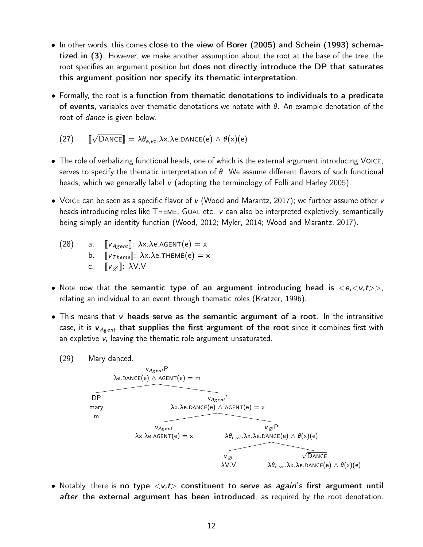- In other words, this comes close to the view of [Borer \(2005](#page-18-4)) and [Schein](#page-18-3) [\(1993](#page-18-3)) schematized in [\(3\)](#page-2-0). However, we make another assumption about the root at the base of the tree; the root specifies an argument position but does not directly introduce the DP that saturates this argument position nor specify its thematic interpretation.
- Formally, the root is a function from thematic denotations to individuals to a predicate of events, variables over thematic denotations we notate with  $\theta$ . An example denotation of the root of *dance* is given below.

(27) 
$$
\llbracket \sqrt{\text{DANCE}} \rrbracket = \lambda \theta_{e, vt}.\lambda x. \lambda e. \text{DANCE}(e) \wedge \theta(x)(e)
$$

- The role of verbalizing functional heads, one of which is the external argument introducing Voice, serves to specify the thematic interpretation of  $\theta$ . We assume different flavors of such functional heads, which we generally label v (adopting the terminology of [Folli and Harley 2005\)](#page-18-14).
- VOICE can be seen as a specific flavor of v [\(Wood and Marantz](#page-19-1), [2017](#page-19-1)); we further assume other v heads introducing roles like THEME, GOAL etc. v can also be interpreted expletively, semantically being simply an identity function [\(Wood](#page-19-2), [2012;](#page-19-2) [Myler](#page-18-25), [2014;](#page-18-25) [Wood and Marantz, 2017](#page-19-1)).

(28) a. 
$$
\begin{array}{ll}\n[v_{Agent}]: \lambda x. \lambda e. A GENT(e) = x \\
b. & [v_{Theme}]: \lambda x. \lambda e. THEME(e) = x \\
c. & [v_{\emptyset}]: \lambda V.V\n\end{array}
$$

- Note now that the semantic type of an argument introducing head is *<*e,*<*v,t*>>*, relating an individual to an event through thematic roles [\(Kratzer](#page-18-1), [1996\)](#page-18-1).
- This means that  $\bf{v}$  heads serve as the semantic argument of a root. In the intransitive case, it is  $v_{A<sub>gent</sub>}$  that supplies the first argument of the root since it combines first with an expletive v, leaving the thematic role argument unsaturated.
	- (29) Mary danced.



• Notably, there is no type  $\langle v, t \rangle$  constituent to serve as *again's* first argument until after the external argument has been introduced, as required by the root denotation.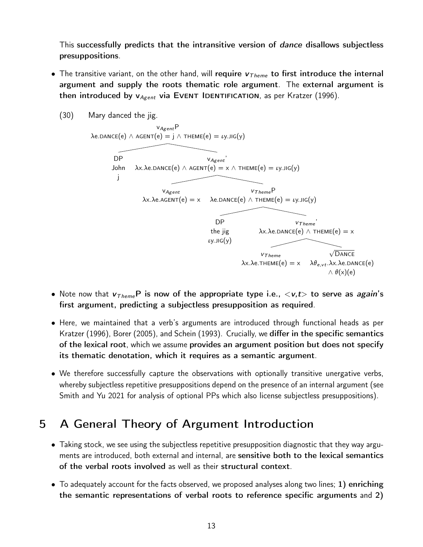This successfully predicts that the intransitive version of *dance* disallows subjectless presuppositions.

• The transitive variant, on the other hand, will require  $v_{Theme}$  to first introduce the internal argument and supply the roots thematic role argument. The external argument is then introduced by v<sub>Agent</sub> via EVENT IDENTIFICATION, as per [Kratzer](#page-18-1) [\(1996\)](#page-18-1).



- Note now that  $v_{T \text{heme}}$ P is now of the appropriate type i.e.,  $\langle v, t \rangle$  to serve as *again's* first argument, predicting a subjectless presupposition as required.
- Here, we maintained that a verb's arguments are introduced through functional heads as per [Kratzer \(1996\)](#page-18-1), [Borer](#page-18-4) [\(2005\)](#page-18-4), and [Schein \(1993\)](#page-18-3). Crucially, we differ in the specific semantics of the lexical root, which we assume provides an argument position but does not specify its thematic denotation, which it requires as a semantic argument.
- We therefore successfully capture the observations with optionally transitive unergative verbs, whereby subjectless repetitive presuppositions depend on the presence of an internal argument (see [Smith and Yu 2021](#page-18-26) for analysis of optional PPs which also license subjectless presuppositions).

# 5 A General Theory of Argument Introduction

- Taking stock, we see using the subjectless repetitive presupposition diagnostic that they way arguments are introduced, both external and internal, are sensitive both to the lexical semantics of the verbal roots involved as well as their structural context.
- To adequately account for the facts observed, we proposed analyses along two lines; 1) enriching the semantic representations of verbal roots to reference specific arguments and 2)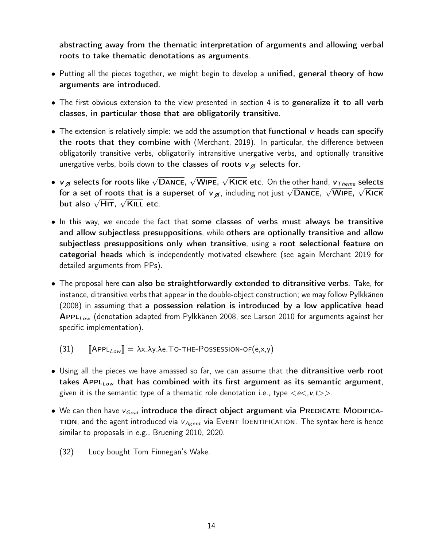abstracting away from the thematic interpretation of arguments and allowing verbal roots to take thematic denotations as arguments.

- Putting all the pieces together, we might begin to develop a unified, general theory of how arguments are introduced.
- The first obvious extension to the view presented in section [4](#page-8-0) is to generalize it to all verb classes, in particular those that are obligatorily transitive.
- The extension is relatively simple: we add the assumption that functional  $\bf{v}$  heads can specify the roots that they combine with [\(Merchant, 2019\)](#page-18-27). In particular, the difference between obligatorily transitive verbs, obligatorily intransitive unergative verbs, and optionally transitive unergative verbs, boils down to the classes of roots  $v_{\emptyset}$  selects for.
- $\bm{\nu}_\varnothing$  selects for roots like  $\sqrt{\textsf{DANCE}}$ ,  $\sqrt{\textsf{WIDE}}$ ,  $\sqrt{\textsf{KICK}}$  etc. On the other hand,  $\bm{\nu}_{Theme}$  selects for a set of roots that is a superset of  $v_{\beta}$ , including not just  $\sqrt{\text{DANCE}}$ ,  $\sqrt{\text{WIEE}}$ ,  $\sqrt{\text{KICK}}$ but also  $\sqrt{\mathsf{H}$ IT,  $\sqrt{\mathsf{K}}$ ILL etc.
- In this way, we encode the fact that some classes of verbs must always be transitive and allow subjectless presuppositions, while others are optionally transitive and allow subjectless presuppositions only when transitive, using a root selectional feature on categorial heads which is independently motivated elsewhere (see again [Merchant 2019](#page-18-27) for detailed arguments from PPs).
- The proposal here can also be straightforwardly extended to ditransitive verbs. Take, for instance, ditransitive verbs that appear in the double-object construction; we may follow [Pylkkänen](#page-18-28) [\(2008\)](#page-18-28) in assuming that a possession relation is introduced by a low applicative head Appl*Low* (denotation adapted from [Pylkkänen 2008,](#page-18-28) see [Larson 2010](#page-18-29) for arguments against her specific implementation).
	- $(31)$   $\left[\right]$ AppL<sub>Low</sub> $\left] = \lambda x.\lambda y.\lambda e.\text{To-THE-Possession-OF}(e,x,y)$
- Using all the pieces we have amassed so far, we can assume that the ditransitive verb root takes Appl*Low* that has combined with its first argument as its semantic argument, given it is the semantic type of a thematic role denotation i.e., type  $\langle e \langle v, t \rangle \rangle$ .
- We can then have  $v_{Goal}$  introduce the direct object argument via PREDICATE MODIFICAtion, and the agent introduced via v *Agent* via Event Identification. The syntax here is hence similar to proposals in e.g., [Bruening 2010](#page-18-30), [2020.](#page-18-31)
	- (32) Lucy bought Tom Finnegan's Wake.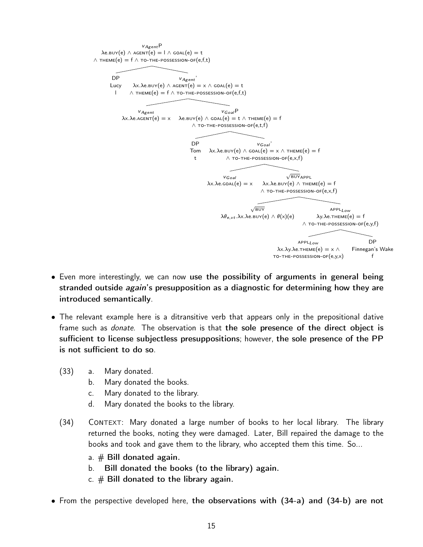

- Even more interestingly, we can now use the possibility of arguments in general being stranded outside *again*'s presupposition as a diagnostic for determining how they are introduced semantically.
- The relevant example here is a ditransitive verb that appears only in the prepositional dative frame such as *donate*. The observation is that the sole presence of the direct object is sufficient to license subjectless presuppositions; however, the sole presence of the PP is not sufficient to do so.
	- (33) a. Mary donated.
		- b. Mary donated the books.
		- c. Mary donated to the library.
		- d. Mary donated the books to the library.
	- (34) Context: Mary donated a large number of books to her local library. The library returned the books, noting they were damaged. Later, Bill repaired the damage to the books and took and gave them to the library, who accepted them this time. So...
		- a.  $#$  Bill donated again.
		- b. Bill donated the books (to the library) again.
		- c.  $#$  Bill donated to the library again.
- <span id="page-14-2"></span><span id="page-14-1"></span><span id="page-14-0"></span>• From the perspective developed here, the observations with [\(34-a\)](#page-14-0) and [\(34-b\)](#page-14-1) are not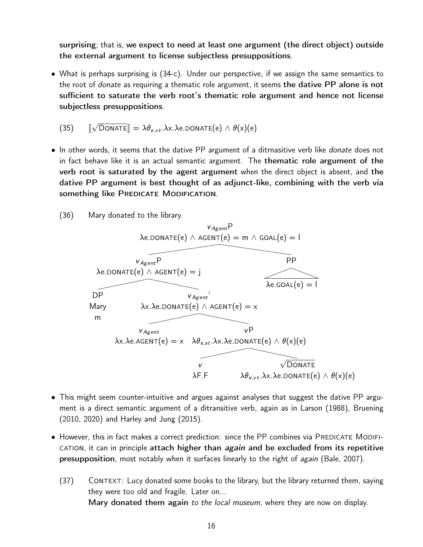surprising; that is, we expect to need at least one argument (the direct object) outside the external argument to license subjectless presuppositions.

• What is perhaps surprising is [\(34-c\).](#page-14-2) Under our perspective, if we assign the same semantics to the root of *donate* as requiring a thematic role argument, it seems the dative PP alone is not sufficient to saturate the verb root's thematic role argument and hence not license subjectless presuppositions.

(35) 
$$
\llbracket \sqrt{\text{DonATE}} \rrbracket = \lambda \theta_{e, vt}.\lambda x. \lambda e. \text{DonATE}(e) \wedge \theta(x)(e)
$$

- In other words, it seems that the dative PP argument of a ditrnasitive verb like *donate* does not in fact behave like it is an actual semantic argument. The thematic role argument of the verb root is saturated by the agent argument when the direct object is absent, and the dative PP argument is best thought of as adjunct-like, combining with the verb via something like PREDICATE MODIFICATION.
	- (36) Mary donated to the library.



- This might seem counter-intuitive and argues against analyses that suggest the dative PP argument is a direct semantic argument of a ditransitive verb, again as in [Larson \(1988](#page-18-32)), [Bruening](#page-18-30) [\(2010,](#page-18-30) [2020](#page-18-31)) and [Harley and Jung \(2015\)](#page-18-18).
- However, this in fact makes a correct prediction: since the PP combines via PREDICATE MODIFI-CATION, it can in principle attach higher than *again* and be excluded from its repetitive **presupposition**, most notably when it surfaces linearly to the right of *again* [\(Bale](#page-18-9), [2007\)](#page-18-9).
	- (37) CONTEXT: Lucy donated some books to the library, but the library returned them, saying they were too old and fragile. Later on... Mary donated them again to the local museum, where they are now on display.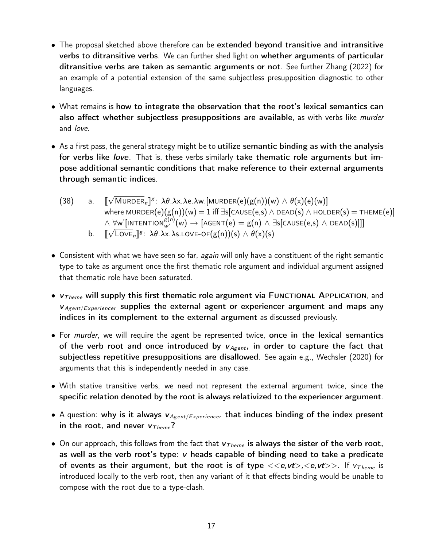- The proposal sketched above therefore can be extended beyond transitive and intransitive verbs to ditransitive verbs. We can further shed light on whether arguments of particular ditransitive verbs are taken as semantic arguments or not. See further [Zhang](#page-19-3) [\(2022\)](#page-19-3) for an example of a potential extension of the same subjectless presupposition diagnostic to other languages.
- What remains is how to integrate the observation that the root's lexical semantics can also affect whether subjectless presuppositions are available, as with verbs like murder and love.
- As a first pass, the general strategy might be to utilize semantic binding as with the analysis for verbs like love. That is, these verbs similarly take thematic role arguments but impose additional semantic conditions that make reference to their external arguments through semantic indices.
	- $(38)$  a.  $\sqrt{\text{MURDER}}_n$ ] $g$ :  $\lambda \theta. \lambda x. \lambda e. \lambda w.$ [MURDER(e)(g(n))(w)  $\wedge \theta(x)(e)(w)$ ] where MURDER(e)(g(n))(w) = 1 iff  $\exists s$ [CAUSE(e,s)  $\land$  DEAD(s)  $\land$  HOLDER(s) = THEME(e)]  $\land \forall$ w'[intention $\frac{g^{(n)}}{w'}(w) \to [A\textsf{GENT}(e) = g(n) \land \exists s[\textsf{CAUSE}(e,s) \land \textsf{DEAD}(s)]]]$  $b_{\cdot}$  $\sqrt{\text{Love}}_n$ <sup>*g*</sup>:  $\lambda \theta$ . $\lambda$ x. $\lambda$ s.Love-of(g(n))(s) ∧  $\theta$ (x)(s)
- Consistent with what we have seen so far, *again* will only have a constituent of the right semantic type to take as argument once the first thematic role argument and individual argument assigned that thematic role have been saturated.
- $v<sub>Theme</sub>$  will supply this first thematic role argument via FUNCTIONAL APPLICATION, and  $v_{Agent/Experiencer}$  supplies the external agent or experiencer argument and maps any indices in its complement to the external argument as discussed previously.
- For murder, we will require the agent be represented twice, once in the lexical semantics of the verb root and once introduced by  $v_{Agent}$ , in order to capture the fact that subjectless repetitive presuppositions are disallowed. See again e.g., [Wechsler \(2020\)](#page-19-0) for arguments that this is independently needed in any case.
- With stative transitive verbs, we need not represent the external argument twice, since the specific relation denoted by the root is always relativized to the experiencer argument.
- A question: why is it always  $v_{Agent/Experiencer}$  that induces binding of the index present in the root, and never  $v_{Theme}$ ?
- On our approach, this follows from the fact that v *T heme* is always the sister of the verb root, as well as the verb root's type: v heads capable of binding need to take a predicate of events as their argument, but the root is of type *<<*e,vt*>*,*<*e,vt*>>*. If v *T heme* is introduced locally to the verb root, then any variant of it that effects binding would be unable to compose with the root due to a type-clash.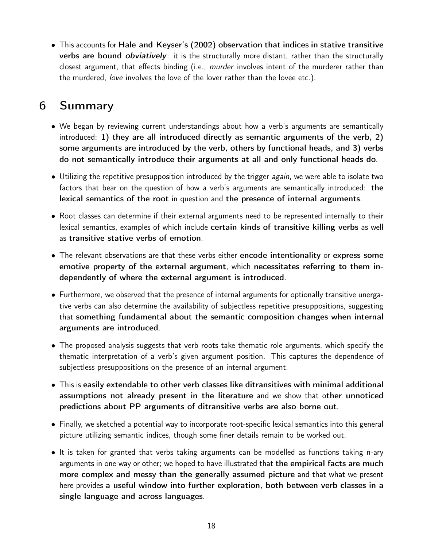• This accounts for [Hale and Keyser](#page-18-16)'s [\(2002\)](#page-18-16) observation that indices in stative transitive **verbs are bound** *obviatively*: it is the structurally more distant, rather than the structurally closest argument, that effects binding (i.e., murder involves intent of the murderer rather than the murdered, love involves the love of the lover rather than the lovee etc.).

# 6 Summary

- We began by reviewing current understandings about how a verb's arguments are semantically introduced: 1) they are all introduced directly as semantic arguments of the verb, 2) some arguments are introduced by the verb, others by functional heads, and 3) verbs do not semantically introduce their arguments at all and only functional heads do.
- Utilizing the repetitive presupposition introduced by the trigger *again*, we were able to isolate two factors that bear on the question of how a verb's arguments are semantically introduced: the lexical semantics of the root in question and the presence of internal arguments.
- Root classes can determine if their external arguments need to be represented internally to their lexical semantics, examples of which include certain kinds of transitive killing verbs as well as transitive stative verbs of emotion.
- The relevant observations are that these verbs either encode intentionality or express some emotive property of the external argument, which necessitates referring to them independently of where the external argument is introduced.
- Furthermore, we observed that the presence of internal arguments for optionally transitive unergative verbs can also determine the availability of subjectless repetitive presuppositions, suggesting that something fundamental about the semantic composition changes when internal arguments are introduced.
- The proposed analysis suggests that verb roots take thematic role arguments, which specify the thematic interpretation of a verb's given argument position. This captures the dependence of subjectless presuppositions on the presence of an internal argument.
- This is easily extendable to other verb classes like ditransitives with minimal additional assumptions not already present in the literature and we show that other unnoticed predictions about PP arguments of ditransitive verbs are also borne out.
- Finally, we sketched a potential way to incorporate root-specific lexical semantics into this general picture utilizing semantic indices, though some finer details remain to be worked out.
- It is taken for granted that verbs taking arguments can be modelled as functions taking n-ary arguments in one way or other; we hoped to have illustrated that the empirical facts are much more complex and messy than the generally assumed picture and that what we present here provides a useful window into further exploration, both between verb classes in a single language and across languages.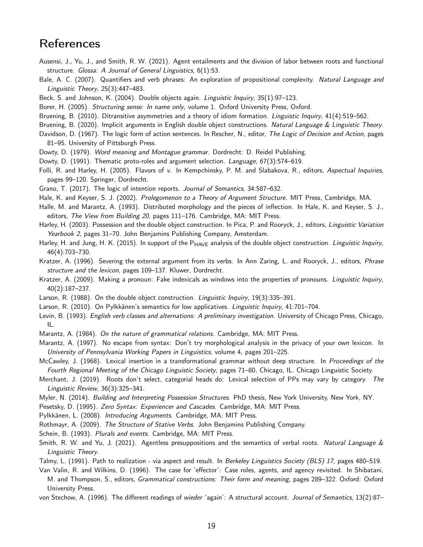### **References**

- <span id="page-18-10"></span>Ausensi, J., Yu, J., and Smith, R. W. (2021). Agent entailments and the division of labor between roots and functional structure. Glossa: A Journal of General Linguistics, 6(1):53.
- <span id="page-18-9"></span>Bale, A. C. (2007). Quantifiers and verb phrases: An exploration of propositional complexity. Natural Language and Linguistic Theory, 25(3):447–483.
- <span id="page-18-8"></span>Beck, S. and Johnson, K. (2004). Double objects again. Linguistic Inquiry, 35(1):97–123.
- <span id="page-18-4"></span>Borer, H. (2005). Structuring sense: In name only, volume 1. Oxford University Press, Oxford.
- <span id="page-18-30"></span>Bruening, B. (2010). Ditransitive asymmetries and a theory of idiom formation. Linguistic Inquiry, 41(4):519–562.
- <span id="page-18-31"></span>Bruening, B. (2020). Implicit arguments in English double object constructions. Natural Language & Linguistic Theory.
- <span id="page-18-0"></span>Davidson, D. (1967). The logic form of action sentences. In Rescher, N., editor, The Logic of Decision and Action, pages 81–95. University of Pittsburgh Press.
- <span id="page-18-6"></span>Dowty, D. (1979). Word meaning and Montague grammar. Dordrecht: D. Reidel Publishing.
- <span id="page-18-12"></span>Dowty, D. (1991). Thematic proto-roles and argument selection. Language, 67(3):574–619.
- <span id="page-18-14"></span>Folli, R. and Harley, H. (2005). Flavors of v. In Kempchinsky, P. M. and Slabakova, R., editors, Aspectual Inquiries, pages 99–120. Springer, Dordrecht.
- <span id="page-18-15"></span>Grano, T. (2017). The logic of intention reports. Journal of Semantics, 34:587–632.
- <span id="page-18-16"></span>Hale, K. and Keyser, S. J. (2002). Prolegomenon to a Theory of Argument Structure. MIT Press, Cambridge, MA.
- <span id="page-18-22"></span>Halle, M. and Marantz, A. (1993). Distributed morphology and the pieces of inflection. In Hale, K. and Keyser, S. J., editors, The View from Building 20, pages 111–176. Cambridge, MA: MIT Press.
- <span id="page-18-17"></span>Harley, H. (2003). Possession and the double object construction. In Pica, P. and Rooryck, J., editors, Linguistic Variation Yearbook 2, pages 31–70. John Benjamins Publishing Company, Amsterdam.
- <span id="page-18-18"></span>Harley, H. and Jung, H. K. (2015). In support of the  $P_{HAVE}$  analysis of the double object construction. Linguistic Inquiry, 46(4):703–730.
- <span id="page-18-1"></span>Kratzer, A. (1996). Severing the external argument from its verbs. In Ann Zaring, L. and Rooryck, J., editors, Phrase structure and the lexicon, pages 109–137. Kluwer, Dordrecht.
- <span id="page-18-20"></span>Kratzer, A. (2009). Making a pronoun: Fake indexicals as windows into the properties of pronouns. *Linguistic Inquiry*, 40(2):187–237.
- <span id="page-18-32"></span>Larson, R. (1988). On the double object construction. Linguistic Inquiry, 19(3):335–391.
- <span id="page-18-29"></span>Larson, R. (2010). On Pylkkänen's semantics for low applicatives. Linguistic Inquiry, 41:701–704.
- <span id="page-18-21"></span>Levin, B. (1993). English verb classes and alternations: A preliminary investigation. University of Chicago Press, Chicago, IL.
- <span id="page-18-2"></span>Marantz, A. (1984). On the nature of grammatical relations. Cambridge, MA: MIT Press.
- <span id="page-18-24"></span>Marantz, A. (1997). No escape from syntax: Don't try morphological analysis in the privacy of your own lexicon. In University of Pennsylvania Working Papers in Linguistics, volume 4, pages 201–225.
- <span id="page-18-5"></span>McCawley, J. (1968). Lexical insertion in a transformational grammar without deep structure. In Proceedings of the Fourth Regional Meeting of the Chicago Linguistic Society, pages 71–80, Chicago, IL. Chicago Linguistic Society.
- <span id="page-18-27"></span>Merchant, J. (2019). Roots don't select, categorial heads do: Lexical selection of PPs may vary by category. The Linguistic Review, 36(3):325–341.
- <span id="page-18-25"></span>Myler, N. (2014). Building and Interpreting Possession Structures. PhD thesis, New York University, New York, NY.
- <span id="page-18-23"></span>Pesetsky, D. (1995). Zero Syntax: Experiencer and Cascades. Cambridge, MA: MIT Press.
- <span id="page-18-28"></span>Pylkkänen, L. (2008). Introducing Arguments. Cambridge, MA: MIT Press.
- <span id="page-18-19"></span>Rothmayr, A. (2009). The Structure of Stative Verbs. John Benjamins Publishing Company.
- <span id="page-18-3"></span>Schein, B. (1993). Plurals and events. Cambridge, MA: MIT Press.
- <span id="page-18-26"></span>Smith, R. W. and Yu, J. (2021). Agentless presuppositions and the semantics of verbal roots. Natural Language  $\&$ Linguistic Theory.
- <span id="page-18-11"></span>Talmy, L. (1991). Path to realization - via aspect and result. In Berkeley Linguistics Society (BLS) 17, pages 480–519.
- <span id="page-18-13"></span>Van Valin, R. and Wilkins, D. (1996). The case for 'effector': Case roles, agents, and agency revisited. In Shibatani, M. and Thompson, S., editors, Grammatical constructions: Their form and meaning, pages 289–322. Oxford: Oxford University Press.
- <span id="page-18-7"></span>von Stechow, A. (1996). The different readings of wieder 'again': A structural account. Journal of Semantics, 13(2):87-